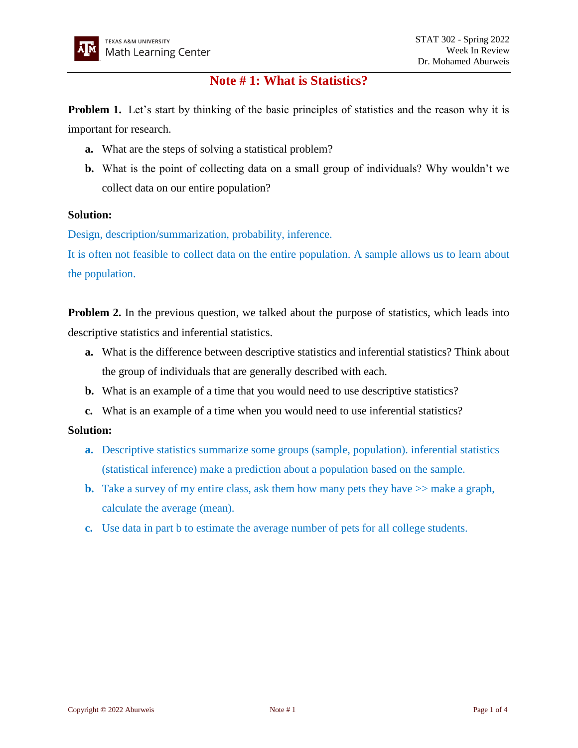# **Note # 1: What is Statistics?**

**Problem 1.** Let's start by thinking of the basic principles of statistics and the reason why it is important for research.

- **a.** What are the steps of solving a statistical problem?
- **b.** What is the point of collecting data on a small group of individuals? Why wouldn't we collect data on our entire population?

## **Solution:**

Design, description/summarization, probability, inference.

It is often not feasible to collect data on the entire population. A sample allows us to learn about the population.

**Problem 2.** In the previous question, we talked about the purpose of statistics, which leads into descriptive statistics and inferential statistics.

- **a.** What is the difference between descriptive statistics and inferential statistics? Think about the group of individuals that are generally described with each.
- **b.** What is an example of a time that you would need to use descriptive statistics?
- **c.** What is an example of a time when you would need to use inferential statistics?

# **Solution:**

- **a.** Descriptive statistics summarize some groups (sample, population). inferential statistics (statistical inference) make a prediction about a population based on the sample.
- **b.** Take a survey of my entire class, ask them how many pets they have  $\gg$  make a graph, calculate the average (mean).
- **c.** Use data in part b to estimate the average number of pets for all college students.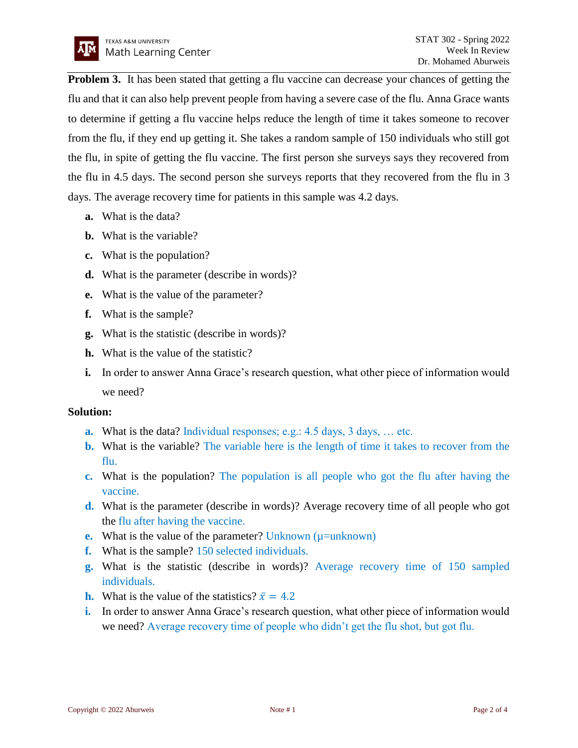**Problem 3.** It has been stated that getting a flu vaccine can decrease your chances of getting the flu and that it can also help prevent people from having a severe case of the flu. Anna Grace wants to determine if getting a flu vaccine helps reduce the length of time it takes someone to recover from the flu, if they end up getting it. She takes a random sample of 150 individuals who still got the flu, in spite of getting the flu vaccine. The first person she surveys says they recovered from the flu in 4.5 days. The second person she surveys reports that they recovered from the flu in 3 days. The average recovery time for patients in this sample was 4.2 days.

- **a.** What is the data?
- **b.** What is the variable?
- **c.** What is the population?
- **d.** What is the parameter (describe in words)?
- **e.** What is the value of the parameter?
- **f.** What is the sample?
- **g.** What is the statistic (describe in words)?
- **h.** What is the value of the statistic?
- **i.** In order to answer Anna Grace's research question, what other piece of information would we need?

#### **Solution:**

- **a.** What is the data? Individual responses; e.g.: 4.5 days, 3 days, ... etc.
- **b.** What is the variable? The variable here is the length of time it takes to recover from the flu.
- **c.** What is the population? The population is all people who got the flu after having the vaccine.
- **d.** What is the parameter (describe in words)? Average recovery time of all people who got the flu after having the vaccine.
- **e.** What is the value of the parameter? Unknown ( $\mu$ =unknown)
- **f.** What is the sample? 150 selected individuals.
- **g.** What is the statistic (describe in words)? Average recovery time of 150 sampled individuals.
- **h.** What is the value of the statistics?  $\bar{x} = 4.2$
- **i.** In order to answer Anna Grace's research question, what other piece of information would we need? Average recovery time of people who didn't get the flu shot, but got flu.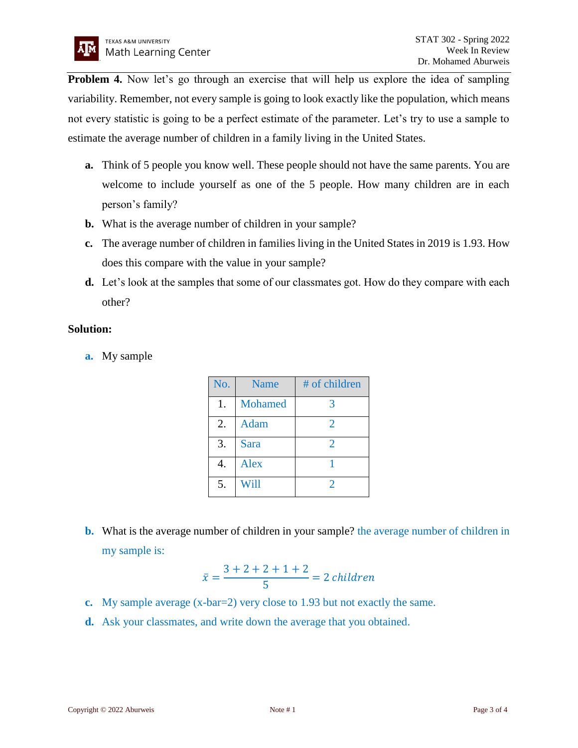**Problem 4.** Now let's go through an exercise that will help us explore the idea of sampling variability. Remember, not every sample is going to look exactly like the population, which means not every statistic is going to be a perfect estimate of the parameter. Let's try to use a sample to estimate the average number of children in a family living in the United States.

- **a.** Think of 5 people you know well. These people should not have the same parents. You are welcome to include yourself as one of the 5 people. How many children are in each person's family?
- **b.** What is the average number of children in your sample?
- **c.** The average number of children in families living in the United States in 2019 is 1.93. How does this compare with the value in your sample?
- **d.** Let's look at the samples that some of our classmates got. How do they compare with each other?

## **Solution:**

**a.** My sample

| No. | <b>Name</b> | # of children |
|-----|-------------|---------------|
| 1.  | Mohamed     |               |
| 2.  | <b>Adam</b> | 2             |
| 3.  | Sara        | 2             |
| 4.  | Alex        |               |
| 5.  | Will        |               |

**b.** What is the average number of children in your sample? the average number of children in my sample is:

$$
\bar{x} = \frac{3+2+2+1+2}{5} = 2 \text{ children}
$$

- **c.** My sample average (x-bar=2) very close to 1.93 but not exactly the same.
- **d.** Ask your classmates, and write down the average that you obtained.